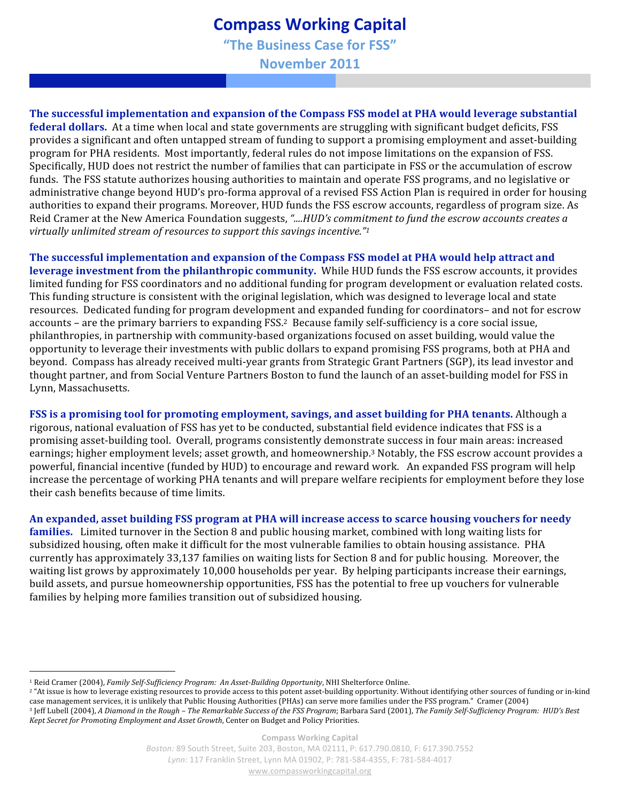## **Compass
Working
Capital**

**"The
Business
Case
for
FSS"**

**November
2011**

**The successful implementation and expansion of the Compass FSS model at PHA would leverage substantial federal dollars.** At a time when local and state governments are struggling with significant budget deficits, FSS provides a significant and often untapped stream of funding to support a promising employment and asset‐building program for PHA residents. Most importantly, federal rules do not impose limitations on the expansion of FSS. Specifically, HUD does not restrict the number of families that can participate in FSS or the accumulation of escrow funds. The FSS statute authorizes housing authorities to maintain and operate FSS programs, and no legislative or administrative change beyond HUD's pro‐forma approval of a revised FSS Action Plan is required in order for housing authorities to expand their programs. Moreover, HUD funds the FSS escrow accounts, regardless of program size. As Reid Cramer at the New America Foundation suggests, *"....HUD's commitment to fund the escrow accounts creates a virtually unlimited stream of resources to support this savings incentive."1*

**The successful implementation and expansion of the Compass FSS model at PHA would help attract and leverage investment from the philanthropic community.** While HUD funds the FSS escrow accounts, it provides limited funding for FSS coordinators and no additional funding for program development or evaluation related costs. This funding structure is consistent with the original legislation, which was designed to leverage local and state resources. Dedicated funding for program development and expanded funding for coordinators– and not for escrow accounts – are the primary barriers to expanding FSS. 2 Because family self‐sufficiency is a core social issue, philanthropies, in partnership with community‐based organizations focused on asset building, would value the opportunity to leverage their investments with public dollars to expand promising FSS programs, both at PHA and beyond. Compass has already received multi‐year grants from Strategic Grant Partners (SGP), its lead investor and thought partner, and from Social Venture Partners Boston to fund the launch of an asset‐building model for FSS in Lynn, Massachusetts.

**FSS is a promising tool for promoting employment, savings, and asset building for PHA tenants.** Although a rigorous, national evaluation of FSS has yet to be conducted, substantial field evidence indicates that FSS is a promising asset‐building tool. Overall, programs consistently demonstrate success in four main areas: increased earnings; higher employment levels; asset growth, and homeownership.3 Notably, the FSS escrow account provides a powerful, financial incentive (funded by HUD) to encourage and reward work. An expanded FSS program will help increase the percentage of working PHA tenants and will prepare welfare recipients for employment before they lose their cash benefits because of time limits.

**An expanded, asset building FSS program at PHA will increase access to scarce housing vouchers for needy families.** Limited turnover in the Section 8 and public housing market, combined with long waiting lists for subsidized housing, often make it difficult for the most vulnerable families to obtain housing assistance. PHA currently has approximately 33,137 families on waiting lists for Section 8 and for public housing. Moreover, the waiting list grows by approximately 10,000 households per year. By helping participants increase their earnings, build assets, and pursue homeownership opportunities, FSS has the potential to free up vouchers for vulnerable families by helping more families transition out of subsidized housing.

<sup>&</sup>lt;sup>1</sup> Reid Cramer (2004), *Family Self-Sufficiency Program: An Asset-Building Opportunity*, NHI Shelterforce Online.

<sup>&</sup>lt;sup>2</sup> "At issue is how to leverage existing resources to provide access to this potent asset-building opportunity. Without identifying other sources of funding or in-kind case management services, it is unlikely that Public Housing Authorities (PHAs) can serve more families under the FSS program." Cramer (2004) <sup>3</sup> Jeff Lubell (2004), *A Diamond in the Rough – The Remarkable Success of the FSS Program; Barbara Sard (2001), The Family Self-Sufficiency Program: HUD's Best Kept Secret for Promoting Employment and Asset Growth*, Center on Budget and Policy Priorities.